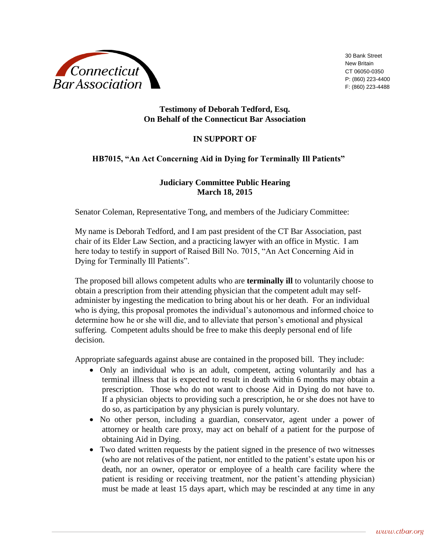

30 Bank Street New Britain CT 06050-0350 P: (860) 223-4400 F: (860) 223-4488

## **Testimony of Deborah Tedford, Esq. On Behalf of the Connecticut Bar Association**

## **IN SUPPORT OF**

## **HB7015, "An Act Concerning Aid in Dying for Terminally Ill Patients"**

## **Judiciary Committee Public Hearing March 18, 2015**

Senator Coleman, Representative Tong, and members of the Judiciary Committee:

My name is Deborah Tedford, and I am past president of the CT Bar Association, past chair of its Elder Law Section, and a practicing lawyer with an office in Mystic. I am here today to testify in support of Raised Bill No. 7015, "An Act Concerning Aid in Dying for Terminally Ill Patients".

The proposed bill allows competent adults who are **terminally ill** to voluntarily choose to obtain a prescription from their attending physician that the competent adult may selfadminister by ingesting the medication to bring about his or her death. For an individual who is dying, this proposal promotes the individual's autonomous and informed choice to determine how he or she will die, and to alleviate that person's emotional and physical suffering. Competent adults should be free to make this deeply personal end of life decision.

Appropriate safeguards against abuse are contained in the proposed bill. They include:

- Only an individual who is an adult, competent, acting voluntarily and has a terminal illness that is expected to result in death within 6 months may obtain a prescription. Those who do not want to choose Aid in Dying do not have to. If a physician objects to providing such a prescription, he or she does not have to do so, as participation by any physician is purely voluntary.
- No other person, including a guardian, conservator, agent under a power of attorney or health care proxy, may act on behalf of a patient for the purpose of obtaining Aid in Dying.
- Two dated written requests by the patient signed in the presence of two witnesses (who are not relatives of the patient, nor entitled to the patient's estate upon his or death, nor an owner, operator or employee of a health care facility where the patient is residing or receiving treatment, nor the patient's attending physician) must be made at least 15 days apart, which may be rescinded at any time in any